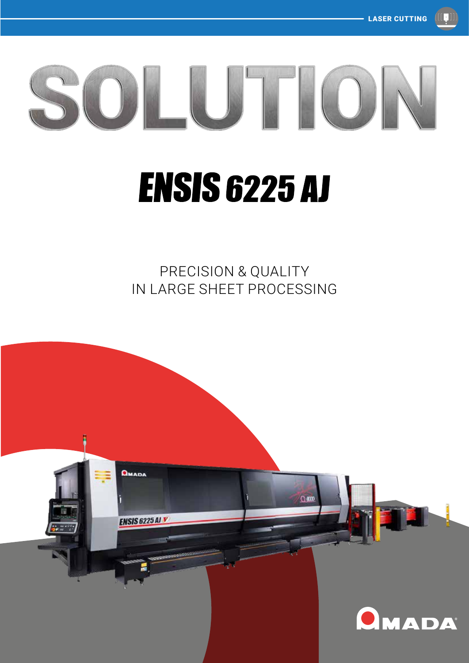

# **ENSIS 6225 AJ**

PRECISION & QUALITY IN LARGE SHEET PROCESSING

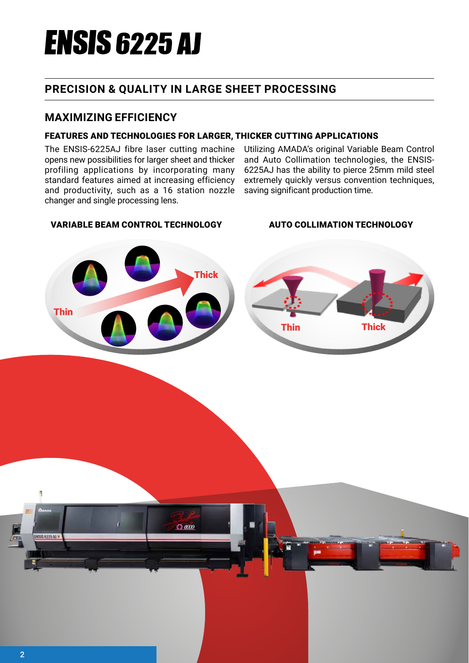# **ENSIS 6225 AJ**

# **PRECISION & QUALITY IN LARGE SHEET PROCESSING**

### **MAXIMIZING EFFICIENCY**

### FEATURES AND TECHNOLOGIES FOR LARGER, THICKER CUTTING APPLICATIONS

The ENSIS-6225AJ fibre laser cutting machine opens new possibilities for larger sheet and thicker profiling applications by incorporating many standard features aimed at increasing efficiency and productivity, such as a 16 station nozzle changer and single processing lens.

Utilizing AMADA's original Variable Beam Control and Auto Collimation technologies, the ENSIS-6225AJ has the ability to pierce 25mm mild steel extremely quickly versus convention techniques, saving significant production time.

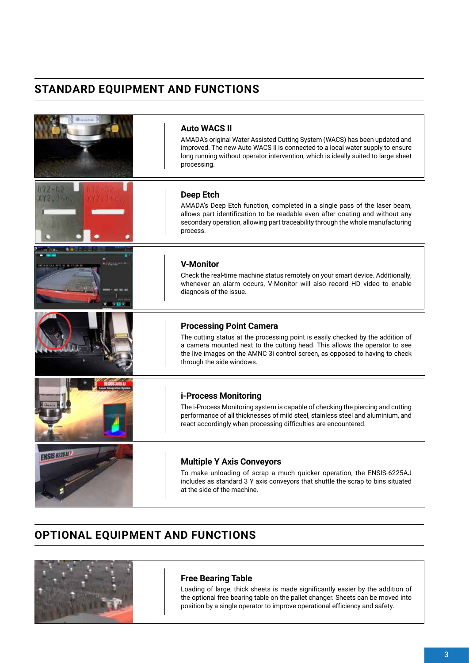# **STANDARD EQUIPMENT AND FUNCTIONS**

|                     | <b>Auto WACS II</b><br>AMADA's original Water Assisted Cutting System (WACS) has been updated and<br>improved. The new Auto WACS II is connected to a local water supply to ensure<br>long running without operator intervention, which is ideally suited to large sheet<br>processing.                      |
|---------------------|--------------------------------------------------------------------------------------------------------------------------------------------------------------------------------------------------------------------------------------------------------------------------------------------------------------|
|                     | <b>Deep Etch</b><br>AMADA's Deep Etch function, completed in a single pass of the laser beam,<br>allows part identification to be readable even after coating and without any<br>secondary operation, allowing part traceability through the whole manufacturing<br>process.                                 |
|                     | <b>V-Monitor</b><br>Check the real-time machine status remotely on your smart device. Additionally,<br>whenever an alarm occurs, V-Monitor will also record HD video to enable<br>diagnosis of the issue.                                                                                                    |
|                     | <b>Processing Point Camera</b><br>The cutting status at the processing point is easily checked by the addition of<br>a camera mounted next to the cutting head. This allows the operator to see<br>the live images on the AMNC 3i control screen, as opposed to having to check<br>through the side windows. |
|                     | i-Process Monitoring<br>The i-Process Monitoring system is capable of checking the piercing and cutting<br>performance of all thicknesses of mild steel, stainless steel and aluminium, and<br>react accordingly when processing difficulties are encountered.                                               |
| <b>ENSIS 6225 M</b> | <b>Multiple Y Axis Conveyors</b><br>To make unloading of scrap a much quicker operation, the ENSIS-6225AJ<br>includes as standard 3 Y axis conveyors that shuttle the scrap to bins situated<br>at the side of the machine.                                                                                  |

# **OPTIONAL EQUIPMENT AND FUNCTIONS**



#### **Free Bearing Table**

Loading of large, thick sheets is made significantly easier by the addition of the optional free bearing table on the pallet changer. Sheets can be moved into position by a single operator to improve operational efficiency and safety.